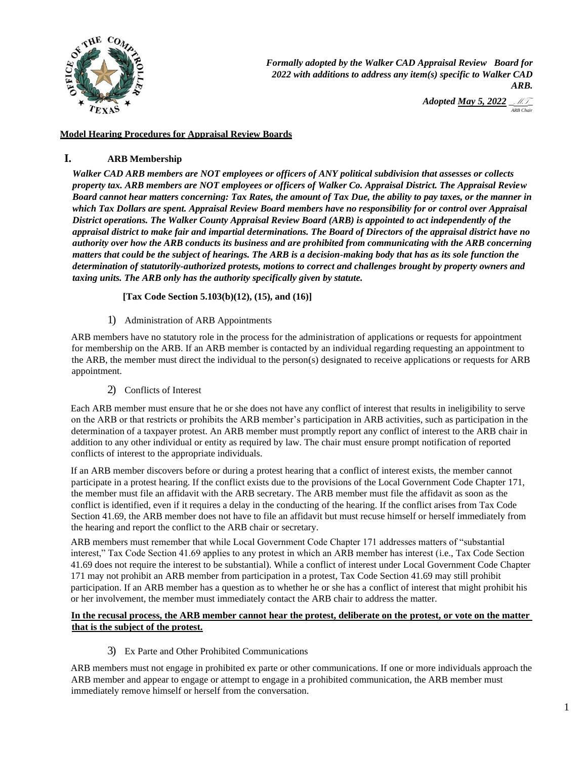

*Formally adopted by the Walker CAD Appraisal Review Board for 2022 with additions to address any item(s) specific to Walker CAD ARB.* 

> *Adopted <u>May 5, 2022</u> <u><i>MT*</u> *<u>ARB Chair</u>*

# **Model Hearing Procedures for Appraisal Review Boards**

# **I. ARB Membership**

*Walker CAD ARB members are NOT employees or officers of ANY political subdivision that assesses or collects property tax. ARB members are NOT employees or officers of Walker Co. Appraisal District. The Appraisal Review Board cannot hear matters concerning: Tax Rates, the amount of Tax Due, the ability to pay taxes, or the manner in which Tax Dollars are spent. Appraisal Review Board members have no responsibility for or control over Appraisal District operations. The Walker County Appraisal Review Board (ARB) is appointed to act independently of the appraisal district to make fair and impartial determinations. The Board of Directors of the appraisal district have no authority over how the ARB conducts its business and are prohibited from communicating with the ARB concerning matters that could be the subject of hearings. The ARB is a decision-making body that has as its sole function the determination of statutorily-authorized protests, motions to correct and challenges brought by property owners and taxing units. The ARB only has the authority specifically given by statute.* 

**[Tax Code Section 5.103(b)(12), (15), and (16)]**

1) Administration of ARB Appointments

ARB members have no statutory role in the process for the administration of applications or requests for appointment for membership on the ARB. If an ARB member is contacted by an individual regarding requesting an appointment to the ARB, the member must direct the individual to the person(s) designated to receive applications or requests for ARB appointment.

2) Conflicts of Interest

Each ARB member must ensure that he or she does not have any conflict of interest that results in ineligibility to serve on the ARB or that restricts or prohibits the ARB member's participation in ARB activities, such as participation in the determination of a taxpayer protest. An ARB member must promptly report any conflict of interest to the ARB chair in addition to any other individual or entity as required by law. The chair must ensure prompt notification of reported conflicts of interest to the appropriate individuals.

If an ARB member discovers before or during a protest hearing that a conflict of interest exists, the member cannot participate in a protest hearing. If the conflict exists due to the provisions of the Local Government Code Chapter 171, the member must file an affidavit with the ARB secretary. The ARB member must file the affidavit as soon as the conflict is identified, even if it requires a delay in the conducting of the hearing. If the conflict arises from Tax Code Section 41.69, the ARB member does not have to file an affidavit but must recuse himself or herself immediately from the hearing and report the conflict to the ARB chair or secretary.

ARB members must remember that while Local Government Code Chapter 171 addresses matters of "substantial interest," Tax Code Section 41.69 applies to any protest in which an ARB member has interest (i.e., Tax Code Section 41.69 does not require the interest to be substantial). While a conflict of interest under Local Government Code Chapter 171 may not prohibit an ARB member from participation in a protest, Tax Code Section 41.69 may still prohibit participation. If an ARB member has a question as to whether he or she has a conflict of interest that might prohibit his or her involvement, the member must immediately contact the ARB chair to address the matter.

### **In the recusal process, the ARB member cannot hear the protest, deliberate on the protest, or vote on the matter that is the subject of the protest.**

3) Ex Parte and Other Prohibited Communications

ARB members must not engage in prohibited ex parte or other communications. If one or more individuals approach the ARB member and appear to engage or attempt to engage in a prohibited communication, the ARB member must immediately remove himself or herself from the conversation.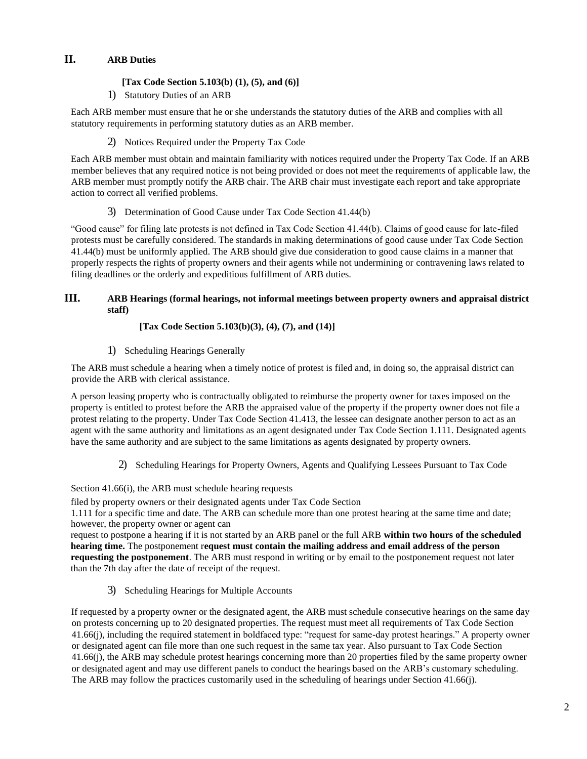# **II. ARB Duties**

# **[Tax Code Section 5.103(b) (1), (5), and (6)]**

1) Statutory Duties of an ARB

Each ARB member must ensure that he or she understands the statutory duties of the ARB and complies with all statutory requirements in performing statutory duties as an ARB member.

2) Notices Required under the Property Tax Code

Each ARB member must obtain and maintain familiarity with notices required under the Property Tax Code. If an ARB member believes that any required notice is not being provided or does not meet the requirements of applicable law, the ARB member must promptly notify the ARB chair. The ARB chair must investigate each report and take appropriate action to correct all verified problems.

3) Determination of Good Cause under Tax Code Section 41.44(b)

"Good cause" for filing late protests is not defined in Tax Code Section 41.44(b). Claims of good cause for late-filed protests must be carefully considered. The standards in making determinations of good cause under Tax Code Section 41.44(b) must be uniformly applied. The ARB should give due consideration to good cause claims in a manner that properly respects the rights of property owners and their agents while not undermining or contravening laws related to filing deadlines or the orderly and expeditious fulfillment of ARB duties.

# **III. ARB Hearings (formal hearings, not informal meetings between property owners and appraisal district staff)**

# **[Tax Code Section 5.103(b)(3), (4), (7), and (14)]**

1) Scheduling Hearings Generally

The ARB must schedule a hearing when a timely notice of protest is filed and, in doing so, the appraisal district can provide the ARB with clerical assistance.

A person leasing property who is contractually obligated to reimburse the property owner for taxes imposed on the property is entitled to protest before the ARB the appraised value of the property if the property owner does not file a protest relating to the property. Under Tax Code Section 41.413, the lessee can designate another person to act as an agent with the same authority and limitations as an agent designated under Tax Code Section 1.111. Designated agents have the same authority and are subject to the same limitations as agents designated by property owners.

2) Scheduling Hearings for Property Owners, Agents and Qualifying Lessees Pursuant to Tax Code

Section 41.66(i), the ARB must schedule hearing requests

filed by property owners or their designated agents under Tax Code Section

1.111 for a specific time and date. The ARB can schedule more than one protest hearing at the same time and date; however, the property owner or agent can

request to postpone a hearing if it is not started by an ARB panel or the full ARB **within two hours of the scheduled hearing time.** The postponement r**equest must contain the mailing address and email address of the person requesting the postponement**. The ARB must respond in writing or by email to the postponement request not later than the 7th day after the date of receipt of the request.

3) Scheduling Hearings for Multiple Accounts

If requested by a property owner or the designated agent, the ARB must schedule consecutive hearings on the same day on protests concerning up to 20 designated properties. The request must meet all requirements of Tax Code Section 41.66(j), including the required statement in boldfaced type: "request for same-day protest hearings." A property owner or designated agent can file more than one such request in the same tax year. Also pursuant to Tax Code Section 41.66(j), the ARB may schedule protest hearings concerning more than 20 properties filed by the same property owner or designated agent and may use different panels to conduct the hearings based on the ARB's customary scheduling. The ARB may follow the practices customarily used in the scheduling of hearings under Section 41.66(j).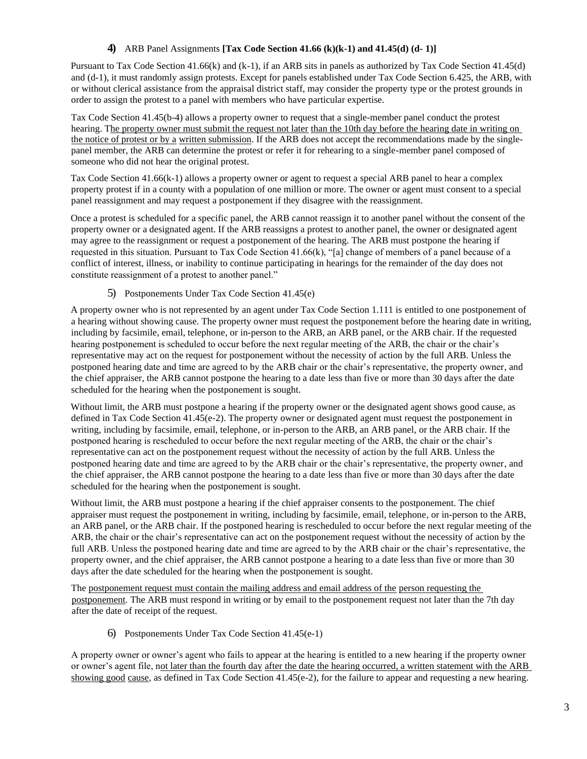### **4)** ARB Panel Assignments **[Tax Code Section 41.66 (k)(k-1) and 41.45(d) (d- 1)]**

Pursuant to Tax Code Section 41.66(k) and (k-1), if an ARB sits in panels as authorized by Tax Code Section 41.45(d) and (d-1), it must randomly assign protests. Except for panels established under Tax Code Section 6.425, the ARB, with or without clerical assistance from the appraisal district staff, may consider the property type or the protest grounds in order to assign the protest to a panel with members who have particular expertise.

Tax Code Section 41.45(b-4) allows a property owner to request that a single-member panel conduct the protest hearing. The property owner must submit the request not later than the 10th day before the hearing date in writing on the notice of protest or by a written submission. If the ARB does not accept the recommendations made by the singlepanel member, the ARB can determine the protest or refer it for rehearing to a single-member panel composed of someone who did not hear the original protest.

Tax Code Section 41.66(k-1) allows a property owner or agent to request a special ARB panel to hear a complex property protest if in a county with a population of one million or more. The owner or agent must consent to a special panel reassignment and may request a postponement if they disagree with the reassignment.

Once a protest is scheduled for a specific panel, the ARB cannot reassign it to another panel without the consent of the property owner or a designated agent. If the ARB reassigns a protest to another panel, the owner or designated agent may agree to the reassignment or request a postponement of the hearing. The ARB must postpone the hearing if requested in this situation. Pursuant to Tax Code Section 41.66(k), "[a] change of members of a panel because of a conflict of interest, illness, or inability to continue participating in hearings for the remainder of the day does not constitute reassignment of a protest to another panel."

# 5) Postponements Under Tax Code Section 41.45(e)

A property owner who is not represented by an agent under Tax Code Section 1.111 is entitled to one postponement of a hearing without showing cause. The property owner must request the postponement before the hearing date in writing, including by facsimile, email, telephone, or in-person to the ARB, an ARB panel, or the ARB chair. If the requested hearing postponement is scheduled to occur before the next regular meeting of the ARB, the chair or the chair's representative may act on the request for postponement without the necessity of action by the full ARB. Unless the postponed hearing date and time are agreed to by the ARB chair or the chair's representative, the property owner, and the chief appraiser, the ARB cannot postpone the hearing to a date less than five or more than 30 days after the date scheduled for the hearing when the postponement is sought.

Without limit, the ARB must postpone a hearing if the property owner or the designated agent shows good cause, as defined in Tax Code Section 41.45(e-2). The property owner or designated agent must request the postponement in writing, including by facsimile, email, telephone, or in-person to the ARB, an ARB panel, or the ARB chair. If the postponed hearing is rescheduled to occur before the next regular meeting of the ARB, the chair or the chair's representative can act on the postponement request without the necessity of action by the full ARB. Unless the postponed hearing date and time are agreed to by the ARB chair or the chair's representative, the property owner, and the chief appraiser, the ARB cannot postpone the hearing to a date less than five or more than 30 days after the date scheduled for the hearing when the postponement is sought.

Without limit, the ARB must postpone a hearing if the chief appraiser consents to the postponement. The chief appraiser must request the postponement in writing, including by facsimile, email, telephone, or in-person to the ARB, an ARB panel, or the ARB chair. If the postponed hearing is rescheduled to occur before the next regular meeting of the ARB, the chair or the chair's representative can act on the postponement request without the necessity of action by the full ARB. Unless the postponed hearing date and time are agreed to by the ARB chair or the chair's representative, the property owner, and the chief appraiser, the ARB cannot postpone a hearing to a date less than five or more than 30 days after the date scheduled for the hearing when the postponement is sought.

The postponement request must contain the mailing address and email address of the person requesting the postponement. The ARB must respond in writing or by email to the postponement request not later than the 7th day after the date of receipt of the request.

6) Postponements Under Tax Code Section 41.45(e-1)

A property owner or owner's agent who fails to appear at the hearing is entitled to a new hearing if the property owner or owner's agent file, not later than the fourth day after the date the hearing occurred, a written statement with the ARB showing good cause, as defined in Tax Code Section 41.45(e-2), for the failure to appear and requesting a new hearing.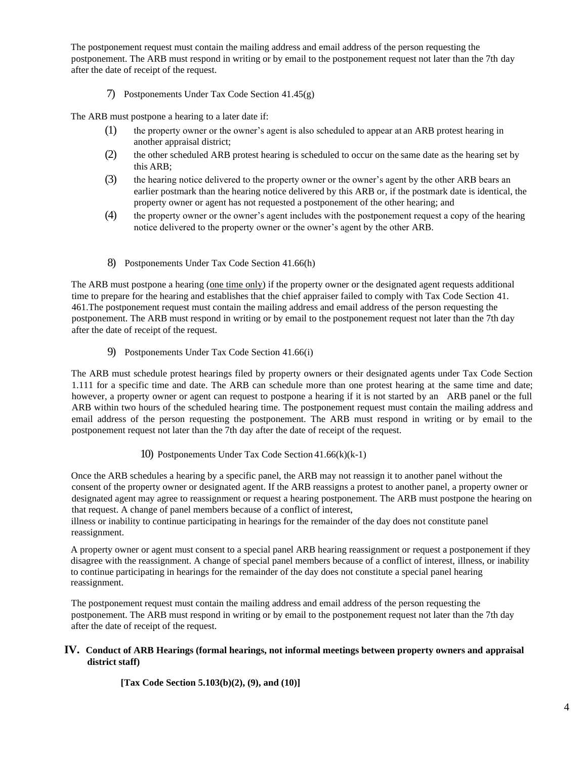The postponement request must contain the mailing address and email address of the person requesting the postponement. The ARB must respond in writing or by email to the postponement request not later than the 7th day after the date of receipt of the request.

### 7) Postponements Under Tax Code Section 41.45(g)

The ARB must postpone a hearing to a later date if:

- (1) the property owner or the owner's agent is also scheduled to appear at an ARB protest hearing in another appraisal district;
- (2) the other scheduled ARB protest hearing is scheduled to occur on the same date as the hearing set by this ARB;
- (3) the hearing notice delivered to the property owner or the owner's agent by the other ARB bears an earlier postmark than the hearing notice delivered by this ARB or, if the postmark date is identical, the property owner or agent has not requested a postponement of the other hearing; and
- (4) the property owner or the owner's agent includes with the postponement request a copy of the hearing notice delivered to the property owner or the owner's agent by the other ARB.
- 8) Postponements Under Tax Code Section 41.66(h)

The ARB must postpone a hearing (one time only) if the property owner or the designated agent requests additional time to prepare for the hearing and establishes that the chief appraiser failed to comply with Tax Code Section 41. 461.The postponement request must contain the mailing address and email address of the person requesting the postponement. The ARB must respond in writing or by email to the postponement request not later than the 7th day after the date of receipt of the request.

9) Postponements Under Tax Code Section 41.66(i)

The ARB must schedule protest hearings filed by property owners or their designated agents under Tax Code Section 1.111 for a specific time and date. The ARB can schedule more than one protest hearing at the same time and date; however, a property owner or agent can request to postpone a hearing if it is not started by an ARB panel or the full ARB within two hours of the scheduled hearing time. The postponement request must contain the mailing address and email address of the person requesting the postponement. The ARB must respond in writing or by email to the postponement request not later than the 7th day after the date of receipt of the request.

# 10) Postponements Under Tax Code Section 41.66(k)(k-1)

Once the ARB schedules a hearing by a specific panel, the ARB may not reassign it to another panel without the consent of the property owner or designated agent. If the ARB reassigns a protest to another panel, a property owner or designated agent may agree to reassignment or request a hearing postponement. The ARB must postpone the hearing on that request. A change of panel members because of a conflict of interest,

illness or inability to continue participating in hearings for the remainder of the day does not constitute panel reassignment.

A property owner or agent must consent to a special panel ARB hearing reassignment or request a postponement if they disagree with the reassignment. A change of special panel members because of a conflict of interest, illness, or inability to continue participating in hearings for the remainder of the day does not constitute a special panel hearing reassignment.

The postponement request must contain the mailing address and email address of the person requesting the postponement. The ARB must respond in writing or by email to the postponement request not later than the 7th day after the date of receipt of the request.

### **IV. Conduct of ARB Hearings (formal hearings, not informal meetings between property owners and appraisal district staff)**

**[Tax Code Section 5.103(b)(2), (9), and (10)]**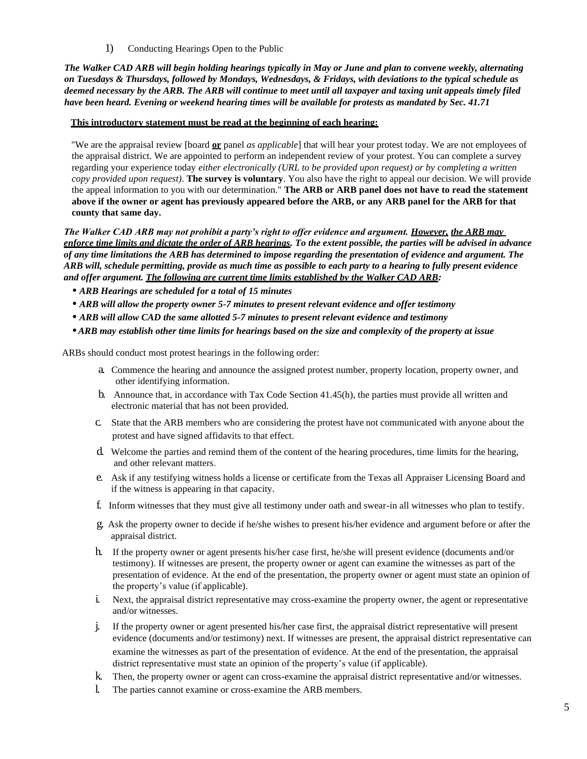1) Conducting Hearings Open to the Public

*The Walker CAD ARB will begin holding hearings typically in May or June and plan to convene weekly, alternating on Tuesdays & Thursdays, followed by Mondays, Wednesdays, & Fridays, with deviations to the typical schedule as deemed necessary by the ARB. The ARB will continue to meet until all taxpayer and taxing unit appeals timely filed have been heard. Evening or weekend hearing times will be available for protests as mandated by Sec. 41.71*

#### **This introductory statement must be read at the beginning of each hearing:**

"We are the appraisal review [board **or** panel *as applicable*] that will hear your protest today. We are not employees of the appraisal district. We are appointed to perform an independent review of your protest. You can complete a survey regarding your experience today *either electronically (URL to be provided upon request) or by completing a written copy provided upon request)*. **The survey is voluntary**. You also have the right to appeal our decision. We will provide the appeal information to you with our determination." **The ARB or ARB panel does not have to read the statement above if the owner or agent has previously appeared before the ARB, or any ARB panel for the ARB for that county that same day.**

*The Walker CAD ARB may not prohibit a party's right to offer evidence and argument. However, the ARB may enforce time limits and dictate the order of ARB hearings. To the extent possible, the parties will be advised in advance of any time limitations the ARB has determined to impose regarding the presentation of evidence and argument. The ARB will, schedule permitting, provide as much time as possible to each party to a hearing to fully present evidence and offer argument. The following are current time limits established by the Walker CAD ARB:*

- *• ARB Hearings are scheduled for a total of 15 minutes*
- ARB will allow the property owner 5-7 minutes to present relevant evidence and offer testimony
- *• ARB will allow CAD the same allotted 5-7 minutes to present relevant evidence and testimony*
- *• ARB may establish other time limits for hearings based on the size and complexity of the property at issue*

ARBs should conduct most protest hearings in the following order:

- a. Commence the hearing and announce the assigned protest number, property location, property owner, and other identifying information.
- b. Announce that, in accordance with Tax Code Section 41.45(h), the parties must provide all written and electronic material that has not been provided.
- c. State that the ARB members who are considering the protest have not communicated with anyone about the protest and have signed affidavits to that effect.
- d. Welcome the parties and remind them of the content of the hearing procedures, time limits for the hearing, and other relevant matters.
- e. Ask if any testifying witness holds a license or certificate from the Texas all Appraiser Licensing Board and if the witness is appearing in that capacity.
- f. Inform witnesses that they must give all testimony under oath and swear-in all witnesses who plan to testify.
- g. Ask the property owner to decide if he/she wishes to present his/her evidence and argument before or after the appraisal district.
- h. If the property owner or agent presents his/her case first, he/she will present evidence (documents and/or testimony). If witnesses are present, the property owner or agent can examine the witnesses as part of the presentation of evidence. At the end of the presentation, the property owner or agent must state an opinion of the property's value (if applicable).
- i. Next, the appraisal district representative may cross-examine the property owner, the agent or representative and/or witnesses.
- j. If the property owner or agent presented his/her case first, the appraisal district representative will present evidence (documents and/or testimony) next. If witnesses are present, the appraisal district representative can examine the witnesses as part of the presentation of evidence. At the end of the presentation, the appraisal district representative must state an opinion of the property's value (if applicable).
- k. Then, the property owner or agent can cross-examine the appraisal district representative and/or witnesses.
- l. The parties cannot examine or cross-examine the ARB members.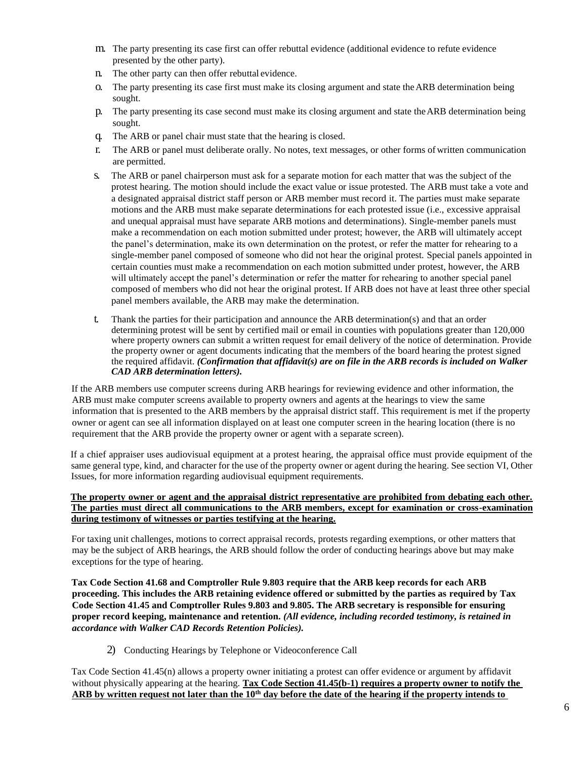- m. The party presenting its case first can offer rebuttal evidence (additional evidence to refute evidence presented by the other party).
- n. The other party can then offer rebuttal evidence.
- o. The party presenting its case first must make its closing argument and state theARB determination being sought.
- p. The party presenting its case second must make its closing argument and state theARB determination being sought.
- q. The ARB or panel chair must state that the hearing is closed.
- r. The ARB or panel must deliberate orally. No notes, text messages, or other forms ofwritten communication are permitted.
- s. The ARB or panel chairperson must ask for a separate motion for each matter that was the subject of the protest hearing. The motion should include the exact value or issue protested. The ARB must take a vote and a designated appraisal district staff person or ARB member must record it. The parties must make separate motions and the ARB must make separate determinations for each protested issue (i.e., excessive appraisal and unequal appraisal must have separate ARB motions and determinations). Single-member panels must make a recommendation on each motion submitted under protest; however, the ARB will ultimately accept the panel's determination, make its own determination on the protest, or refer the matter for rehearing to a single-member panel composed of someone who did not hear the original protest. Special panels appointed in certain counties must make a recommendation on each motion submitted under protest, however, the ARB will ultimately accept the panel's determination or refer the matter for rehearing to another special panel composed of members who did not hear the original protest. If ARB does not have at least three other special panel members available, the ARB may make the determination.
- t. Thank the parties for their participation and announce the ARB determination(s) and that an order determining protest will be sent by certified mail or email in counties with populations greater than 120,000 where property owners can submit a written request for email delivery of the notice of determination. Provide the property owner or agent documents indicating that the members of the board hearing the protest signed the required affidavit. *(Confirmation that affidavit(s) are on file in the ARB records is included on Walker CAD ARB determination letters).*

If the ARB members use computer screens during ARB hearings for reviewing evidence and other information, the ARB must make computer screens available to property owners and agents at the hearings to view the same information that is presented to the ARB members by the appraisal district staff. This requirement is met if the property owner or agent can see all information displayed on at least one computer screen in the hearing location (there is no requirement that the ARB provide the property owner or agent with a separate screen).

If a chief appraiser uses audiovisual equipment at a protest hearing, the appraisal office must provide equipment of the same general type, kind, and character for the use of the property owner or agent during the hearing. See section VI, Other Issues, for more information regarding audiovisual equipment requirements.

### **The property owner or agent and the appraisal district representative are prohibited from debating each other. The parties must direct all communications to the ARB members, except for examination or cross-examination during testimony of witnesses or parties testifying at the hearing.**

For taxing unit challenges, motions to correct appraisal records, protests regarding exemptions, or other matters that may be the subject of ARB hearings, the ARB should follow the order of conducting hearings above but may make exceptions for the type of hearing.

**Tax Code Section 41.68 and Comptroller Rule 9.803 require that the ARB keep records for each ARB proceeding. This includes the ARB retaining evidence offered or submitted by the parties as required by Tax Code Section 41.45 and Comptroller Rules 9.803 and 9.805. The ARB secretary is responsible for ensuring proper record keeping, maintenance and retention.** *(All evidence, including recorded testimony, is retained in accordance with Walker CAD Records Retention Policies).*

2) Conducting Hearings by Telephone or Videoconference Call

Tax Code Section 41.45(n) allows a property owner initiating a protest can offer evidence or argument by affidavit without physically appearing at the hearing. **Tax Code Section 41.45(b-1) requires a property owner to notify the ARB by written request not later than the 10th day before the date of the hearing if the property intends to**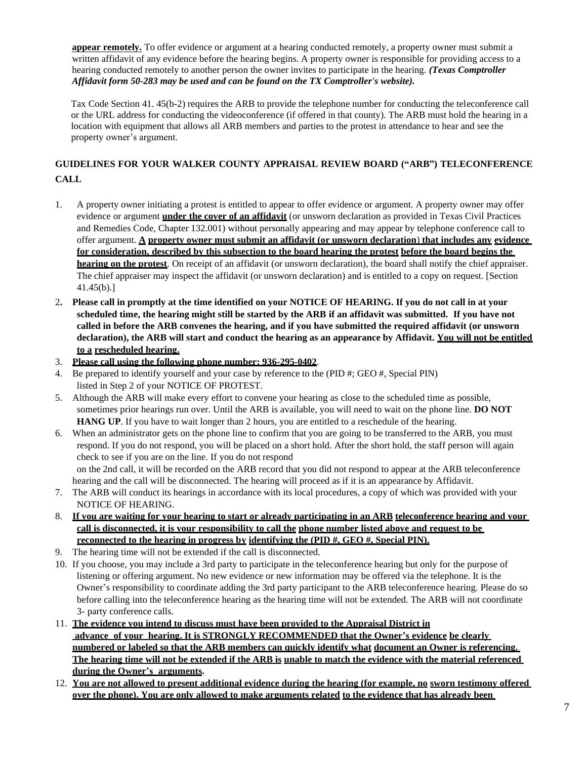**appear remotely.** To offer evidence or argument at a hearing conducted remotely, a property owner must submit a written affidavit of any evidence before the hearing begins. A property owner is responsible for providing access to a hearing conducted remotely to another person the owner invites to participate in the hearing. *(Texas Comptroller Affidavit form 50-283 may be used and can be found on the TX Comptroller's website).*

Tax Code Section 41. 45(b-2) requires the ARB to provide the telephone number for conducting the teleconference call or the URL address for conducting the videoconference (if offered in that county). The ARB must hold the hearing in a location with equipment that allows all ARB members and parties to the protest in attendance to hear and see the property owner's argument.

# **GUIDELINES FOR YOUR WALKER COUNTY APPRAISAL REVIEW BOARD ("ARB") TELECONFERENCE CALL**

- 1. A property owner initiating a protest is entitled to appear to offer evidence or argument. A property owner may offer evidence or argument **under the cover of an affidavit** (or unsworn declaration as provided in Texas Civil Practices and Remedies Code, Chapter 132.001) without personally appearing and may appear by telephone conference call to offer argument. **A property owner must submit an affidavit (or unsworn declaration**) **that includes any evidence for consideration, described by this subsection to the board hearing the protest before the board begins the hearing on the protest**. On receipt of an affidavit (or unsworn declaration), the board shall notify the chief appraiser. The chief appraiser may inspect the affidavit (or unsworn declaration) and is entitled to a copy on request. [Section 41.45(b).]
- 2**. Please call in promptly at the time identified on your NOTICE OF HEARING. If you do not call in at your scheduled time, the hearing might still be started by the ARB if an affidavit was submitted. If you have not called in before the ARB convenes the hearing, and if you have submitted the required affidavit (or unsworn declaration), the ARB will start and conduct the hearing as an appearance by Affidavit. You will not be entitled to a rescheduled hearing.**
- 3. **Please call using the following phone number: 936-295-0402**.
- 4. Be prepared to identify yourself and your case by reference to the (PID #; GEO #, Special PIN) listed in Step 2 of your NOTICE OF PROTEST.
- 5. Although the ARB will make every effort to convene your hearing as close to the scheduled time as possible, sometimes prior hearings run over. Until the ARB is available, you will need to wait on the phone line. **DO NOT HANG UP**. If you have to wait longer than 2 hours, you are entitled to a reschedule of the hearing.
- 6. When an administrator gets on the phone line to confirm that you are going to be transferred to the ARB, you must respond. If you do not respond, you will be placed on a short hold. After the short hold, the staff person will again check to see if you are on the line. If you do not respond on the 2nd call, it will be recorded on the ARB record that you did not respond to appear at the ARB teleconference hearing and the call will be disconnected. The hearing will proceed as if it is an appearance by Affidavit.
- 7. The ARB will conduct its hearings in accordance with its local procedures, a copy of which was provided with your NOTICE OF HEARING.
- 8. **If you are waiting for your hearing to start or already participating in an ARB teleconference hearing and your call is disconnected, it is your responsibility to call the phone number listed above and request to be reconnected to the hearing in progress by identifying the (PID #, GEO #, Special PIN).**
- 9. The hearing time will not be extended if the call is disconnected.
- 10. If you choose, you may include a 3rd party to participate in the teleconference hearing but only for the purpose of listening or offering argument. No new evidence or new information may be offered via the telephone. It is the Owner's responsibility to coordinate adding the 3rd party participant to the ARB teleconference hearing. Please do so before calling into the teleconference hearing as the hearing time will not be extended. The ARB will not coordinate 3- party conference calls.
- 11. **The evidence you intend to discuss must have been provided to the Appraisal District in advance of your hearing. It is STRONGLY RECOMMENDED that the Owner's evidence be clearly numbered or labeled so that the ARB members can quickly identify what document an Owner is referencing. The hearing time will not be extended if the ARB is unable to match the evidence with the material referenced during the Owner's arguments.**
- 12. **You are not allowed to present additional evidence during the hearing (for example, no sworn testimony offered over the phone). You are only allowed to make arguments related to the evidence that has already been**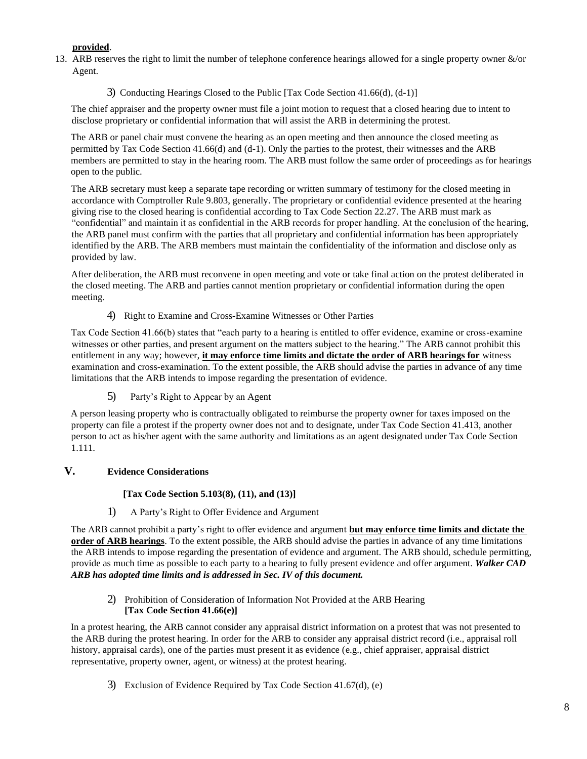# **provided**.

- 13. ARB reserves the right to limit the number of telephone conference hearings allowed for a single property owner &/or Agent.
	- 3) Conducting Hearings Closed to the Public [Tax Code Section 41.66(d), (d-1)]

The chief appraiser and the property owner must file a joint motion to request that a closed hearing due to intent to disclose proprietary or confidential information that will assist the ARB in determining the protest.

The ARB or panel chair must convene the hearing as an open meeting and then announce the closed meeting as permitted by Tax Code Section 41.66(d) and (d-1). Only the parties to the protest, their witnesses and the ARB members are permitted to stay in the hearing room. The ARB must follow the same order of proceedings as for hearings open to the public.

The ARB secretary must keep a separate tape recording or written summary of testimony for the closed meeting in accordance with Comptroller Rule 9.803, generally. The proprietary or confidential evidence presented at the hearing giving rise to the closed hearing is confidential according to Tax Code Section 22.27. The ARB must mark as "confidential" and maintain it as confidential in the ARB records for proper handling. At the conclusion of the hearing, the ARB panel must confirm with the parties that all proprietary and confidential information has been appropriately identified by the ARB. The ARB members must maintain the confidentiality of the information and disclose only as provided by law.

After deliberation, the ARB must reconvene in open meeting and vote or take final action on the protest deliberated in the closed meeting. The ARB and parties cannot mention proprietary or confidential information during the open meeting.

4) Right to Examine and Cross-Examine Witnesses or Other Parties

Tax Code Section 41.66(b) states that "each party to a hearing is entitled to offer evidence, examine or cross-examine witnesses or other parties, and present argument on the matters subject to the hearing." The ARB cannot prohibit this entitlement in any way; however, **it may enforce time limits and dictate the order of ARB hearings for** witness examination and cross-examination. To the extent possible, the ARB should advise the parties in advance of any time limitations that the ARB intends to impose regarding the presentation of evidence.

5) Party's Right to Appear by an Agent

A person leasing property who is contractually obligated to reimburse the property owner for taxes imposed on the property can file a protest if the property owner does not and to designate, under Tax Code Section 41.413, another person to act as his/her agent with the same authority and limitations as an agent designated under Tax Code Section 1.111.

# **V. Evidence Considerations**

### **[Tax Code Section 5.103(8), (11), and (13)]**

1) A Party's Right to Offer Evidence and Argument

The ARB cannot prohibit a party's right to offer evidence and argument **but may enforce time limits and dictate the order of ARB hearings**. To the extent possible, the ARB should advise the parties in advance of any time limitations the ARB intends to impose regarding the presentation of evidence and argument. The ARB should, schedule permitting, provide as much time as possible to each party to a hearing to fully present evidence and offer argument. *Walker CAD ARB has adopted time limits and is addressed in Sec. IV of this document.*

2) Prohibition of Consideration of Information Not Provided at the ARB Hearing **[Tax Code Section 41.66(e)]**

In a protest hearing, the ARB cannot consider any appraisal district information on a protest that was not presented to the ARB during the protest hearing. In order for the ARB to consider any appraisal district record (i.e., appraisal roll history, appraisal cards), one of the parties must present it as evidence (e.g., chief appraiser, appraisal district representative, property owner, agent, or witness) at the protest hearing.

3) Exclusion of Evidence Required by Tax Code Section 41.67(d), (e)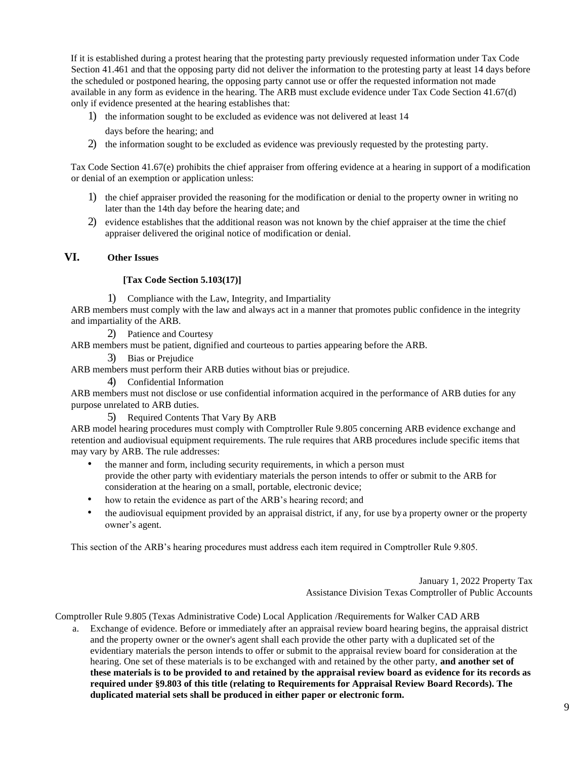If it is established during a protest hearing that the protesting party previously requested information under Tax Code Section 41.461 and that the opposing party did not deliver the information to the protesting party at least 14 days before the scheduled or postponed hearing, the opposing party cannot use or offer the requested information not made available in any form as evidence in the hearing. The ARB must exclude evidence under Tax Code Section 41.67(d) only if evidence presented at the hearing establishes that:

- 1) the information sought to be excluded as evidence was not delivered at least 14 days before the hearing; and
- 2) the information sought to be excluded as evidence was previously requested by the protesting party.

Tax Code Section 41.67(e) prohibits the chief appraiser from offering evidence at a hearing in support of a modification or denial of an exemption or application unless:

- 1) the chief appraiser provided the reasoning for the modification or denial to the property owner in writing no later than the 14th day before the hearing date; and
- 2) evidence establishes that the additional reason was not known by the chief appraiser at the time the chief appraiser delivered the original notice of modification or denial.

# **VI. Other Issues**

### **[Tax Code Section 5.103(17)]**

1) Compliance with the Law, Integrity, and Impartiality

ARB members must comply with the law and always act in a manner that promotes public confidence in the integrity and impartiality of the ARB.

2) Patience and Courtesy

ARB members must be patient, dignified and courteous to parties appearing before the ARB.

3) Bias or Prejudice

ARB members must perform their ARB duties without bias or prejudice.

4) Confidential Information

ARB members must not disclose or use confidential information acquired in the performance of ARB duties for any purpose unrelated to ARB duties.

5) Required Contents That Vary By ARB

ARB model hearing procedures must comply with Comptroller Rule 9.805 concerning ARB evidence exchange and retention and audiovisual equipment requirements. The rule requires that ARB procedures include specific items that may vary by ARB. The rule addresses:

- the manner and form, including security requirements, in which a person must provide the other party with evidentiary materials the person intends to offer or submit to the ARB for consideration at the hearing on a small, portable, electronic device;
- how to retain the evidence as part of the ARB's hearing record; and
- the audiovisual equipment provided by an appraisal district, if any, for use by a property owner or the property owner's agent.

This section of the ARB's hearing procedures must address each item required in Comptroller Rule 9.805.

January 1, 2022 Property Tax Assistance Division Texas Comptroller of Public Accounts

Comptroller Rule 9.805 (Texas Administrative Code) Local Application /Requirements for Walker CAD ARB

a. Exchange of evidence. Before or immediately after an appraisal review board hearing begins, the appraisal district and the property owner or the owner's agent shall each provide the other party with a duplicated set of the evidentiary materials the person intends to offer or submit to the appraisal review board for consideration at the hearing. One set of these materials is to be exchanged with and retained by the other party, **and another set of these materials is to be provided to and retained by the appraisal review board as evidence for its records as required under §9.803 of this title (relating to Requirements for Appraisal Review Board Records). The duplicated material sets shall be produced in either paper or electronic form.**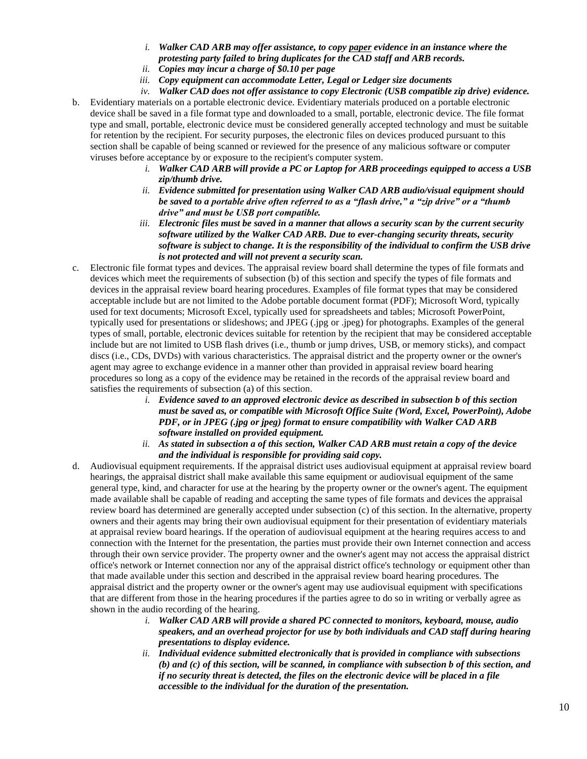- *i. Walker CAD ARB may offer assistance, to copy paper evidence in an instance where the protesting party failed to bring duplicates for the CAD staff and ARB records.*
- *ii. Copies may incur a charge of \$0.10 per page*
- *iii. Copy equipment can accommodate Letter, Legal or Ledger size documents*
- *iv. Walker CAD does not offer assistance to copy Electronic (USB compatible zip drive) evidence.*
- b. Evidentiary materials on a portable electronic device. Evidentiary materials produced on a portable electronic device shall be saved in a file format type and downloaded to a small, portable, electronic device. The file format type and small, portable, electronic device must be considered generally accepted technology and must be suitable for retention by the recipient. For security purposes, the electronic files on devices produced pursuant to this section shall be capable of being scanned or reviewed for the presence of any malicious software or computer viruses before acceptance by or exposure to the recipient's computer system.
	- *i. Walker CAD ARB will provide a PC or Laptop for ARB proceedings equipped to access a USB zip/thumb drive.*
	- *ii. Evidence submitted for presentation using Walker CAD ARB audio/visual equipment should be saved to a portable drive often referred to as a "flash drive," a "zip drive" or a "thumb drive" and must be USB port compatible.*
	- *iii. Electronic files must be saved in a manner that allows a security scan by the current security software utilized by the Walker CAD ARB. Due to ever-changing security threats, security software is subject to change. It is the responsibility of the individual to confirm the USB drive is not protected and will not prevent a security scan.*
- c. Electronic file format types and devices. The appraisal review board shall determine the types of file formats and devices which meet the requirements of subsection (b) of this section and specify the types of file formats and devices in the appraisal review board hearing procedures. Examples of file format types that may be considered acceptable include but are not limited to the Adobe portable document format (PDF); Microsoft Word, typically used for text documents; Microsoft Excel, typically used for spreadsheets and tables; Microsoft PowerPoint, typically used for presentations or slideshows; and JPEG (.jpg or .jpeg) for photographs. Examples of the general types of small, portable, electronic devices suitable for retention by the recipient that may be considered acceptable include but are not limited to USB flash drives (i.e., thumb or jump drives, USB, or memory sticks), and compact discs (i.e., CDs, DVDs) with various characteristics. The appraisal district and the property owner or the owner's agent may agree to exchange evidence in a manner other than provided in appraisal review board hearing procedures so long as a copy of the evidence may be retained in the records of the appraisal review board and satisfies the requirements of subsection (a) of this section.
	- *i. Evidence saved to an approved electronic device as described in subsection b of this section must be saved as, or compatible with Microsoft Office Suite (Word, Excel, PowerPoint), Adobe PDF, or in JPEG (.jpg or jpeg) format to ensure compatibility with Walker CAD ARB software installed on provided equipment.*
	- *ii. As stated in subsection a of this section, Walker CAD ARB must retain a copy of the device and the individual is responsible for providing said copy.*
- d. Audiovisual equipment requirements. If the appraisal district uses audiovisual equipment at appraisal review board hearings, the appraisal district shall make available this same equipment or audiovisual equipment of the same general type, kind, and character for use at the hearing by the property owner or the owner's agent. The equipment made available shall be capable of reading and accepting the same types of file formats and devices the appraisal review board has determined are generally accepted under subsection (c) of this section. In the alternative, property owners and their agents may bring their own audiovisual equipment for their presentation of evidentiary materials at appraisal review board hearings. If the operation of audiovisual equipment at the hearing requires access to and connection with the Internet for the presentation, the parties must provide their own Internet connection and access through their own service provider. The property owner and the owner's agent may not access the appraisal district office's network or Internet connection nor any of the appraisal district office's technology or equipment other than that made available under this section and described in the appraisal review board hearing procedures. The appraisal district and the property owner or the owner's agent may use audiovisual equipment with specifications that are different from those in the hearing procedures if the parties agree to do so in writing or verbally agree as shown in the audio recording of the hearing.
	- *i. Walker CAD ARB will provide a shared PC connected to monitors, keyboard, mouse, audio speakers, and an overhead projector for use by both individuals and CAD staff during hearing presentations to display evidence.*
	- *ii. Individual evidence submitted electronically that is provided in compliance with subsections (b) and (c) of this section, will be scanned, in compliance with subsection b of this section, and if no security threat is detected, the files on the electronic device will be placed in a file accessible to the individual for the duration of the presentation.*